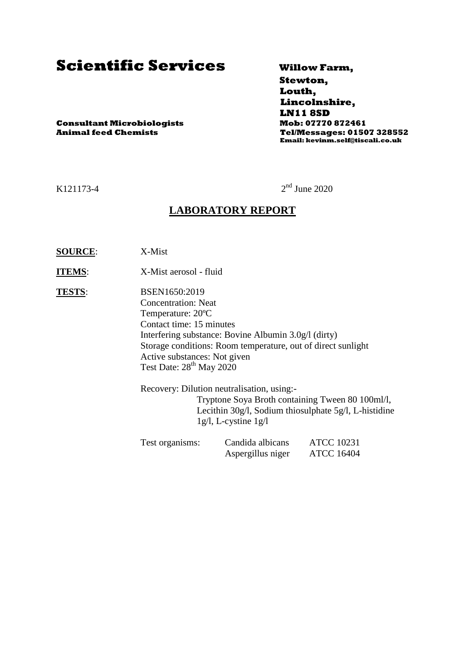# **Scientific Services Willow Farm,**

 **Stewton, Louth, Lincolnshire, LN11 8SD Animal feed Chemists Tel/Messages: 01507 328552 Email: kevinm.self@tiscali.co.uk**

**Consultant Microbiologists Mob: 07770 872461**

K121173-4

 $2<sup>nd</sup>$  June 2020

### **LABORATORY REPORT**

- **SOURCE**: X-Mist
- **ITEMS**: X-Mist aerosol fluid
- **TESTS**: BSEN1650:2019 Concentration: Neat Temperature: 20ºC Contact time: 15 minutes Interfering substance: Bovine Albumin 3.0g/l (dirty) Storage conditions: Room temperature, out of direct sunlight Active substances: Not given Test Date:  $28^{th}$  May  $2020$

Recovery: Dilution neutralisation, using:- Tryptone Soya Broth containing Tween 80 100ml/l, Lecithin 30g/l, Sodium thiosulphate 5g/l, L-histidine 1g/l, L-cystine 1g/l

| Test organisms: | Candida albicans  | <b>ATCC 10231</b> |
|-----------------|-------------------|-------------------|
|                 | Aspergillus niger | <b>ATCC 16404</b> |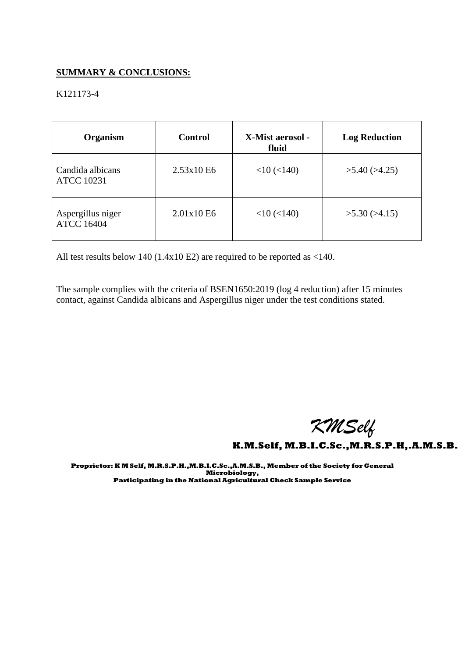#### **SUMMARY & CONCLUSIONS:**

#### K121173-4

| Organism                               | <b>Control</b> | X-Mist aerosol -<br>fluid | <b>Log Reduction</b> |
|----------------------------------------|----------------|---------------------------|----------------------|
| Candida albicans<br><b>ATCC 10231</b>  | 2.53x10E6      | $<$ 10 ( $<$ 140)         | $>5.40$ ( $>4.25$ )  |
| Aspergillus niger<br><b>ATCC 16404</b> | 2.01x10E6      | $<$ 10 ( $<$ 140)         | >5.30(>4.15)         |

All test results below 140 (1.4x10 E2) are required to be reported as <140.

The sample complies with the criteria of BSEN1650:2019 (log 4 reduction) after 15 minutes contact, against Candida albicans and Aspergillus niger under the test conditions stated.

 *KMSelf*

**K.M.Self, M.B.I.C.Sc.,M.R.S.P.H,.A.M.S.B.** 

**Proprietor: K M Self, M.R.S.P.H.,M.B.I.C.Sc.,A.M.S.B., Member of the Society for General Microbiology, Participating in the National Agricultural Check Sample Service**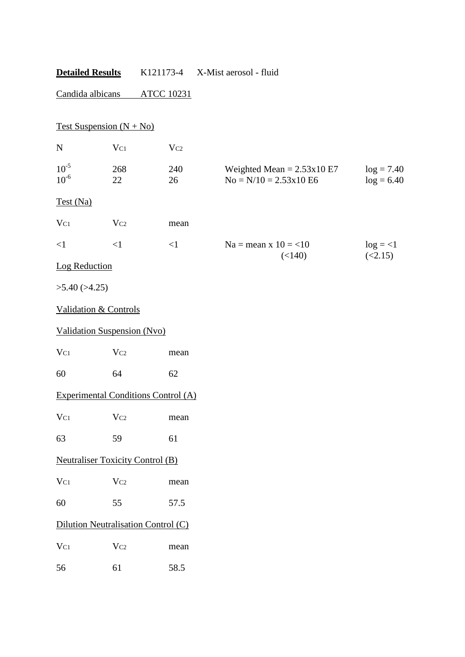## **Detailed Results** K121173-4 X-Mist aerosol - fluid

## Candida albicans ATCC 10231

|                        | Test Suspension $(N + No)$                 |              |                                                         |                              |
|------------------------|--------------------------------------------|--------------|---------------------------------------------------------|------------------------------|
| ${\bf N}$              | $V_{C1}$                                   | $\rm V_{C2}$ |                                                         |                              |
| $10^{-5}$<br>$10^{-6}$ | 268<br>22                                  | 240<br>26    | Weighted Mean = $2.53x10E7$<br>$No = N/10 = 2.53x10 E6$ | $log = 7.40$<br>$log = 6.40$ |
| Test (Na)              |                                            |              |                                                         |                              |
| $V_{C1}$               | Vc2                                        | mean         |                                                         |                              |
| $\leq$ 1               | $\leq$ 1                                   | <1           | $Na = mean x 10 = 10$                                   | $log = <1$                   |
| Log Reduction          |                                            |              | (<140)                                                  | (<2.15)                      |
| $>5.40$ ( $>4.25$ )    |                                            |              |                                                         |                              |
|                        | <b>Validation &amp; Controls</b>           |              |                                                         |                              |
|                        | <b>Validation Suspension (Nvo)</b>         |              |                                                         |                              |
| $V_{C1}$               | Vc2                                        | mean         |                                                         |                              |
| 60                     | 64                                         | 62           |                                                         |                              |
|                        | <b>Experimental Conditions Control (A)</b> |              |                                                         |                              |
| $V_{C1}$               | Vc2                                        | mean         |                                                         |                              |
| 63                     | 59                                         | 61           |                                                         |                              |
|                        | <b>Neutraliser Toxicity Control (B)</b>    |              |                                                         |                              |
| $V_{C1}$               | $V_{C2}$                                   | mean         |                                                         |                              |
| 60                     | 55                                         | 57.5         |                                                         |                              |
|                        | Dilution Neutralisation Control (C)        |              |                                                         |                              |
| $V_{C1}$               | Vc2                                        | mean         |                                                         |                              |
| 56                     | 61                                         | 58.5         |                                                         |                              |